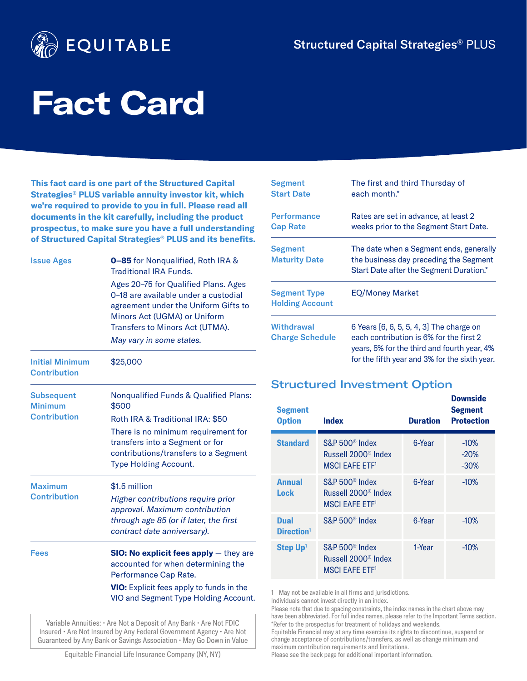

# **Fact Card**

**This fact card is one part of the Structured Capital Strategies® PLUS variable annuity investor kit, which we're required to provide to you in full. Please read all documents in the kit carefully, including the product prospectus, to make sure you have a full understanding of Structured Capital Strategies® PLUS and its benefits.**

| <b>Issue Ages</b>                             | <b>0-85</b> for Nonqualified, Roth IRA &<br><b>Traditional IRA Funds.</b>                                                                                                               |  |  |
|-----------------------------------------------|-----------------------------------------------------------------------------------------------------------------------------------------------------------------------------------------|--|--|
|                                               | Ages 20-75 for Qualified Plans. Ages<br>0-18 are available under a custodial<br>agreement under the Uniform Gifts to<br>Minors Act (UGMA) or Uniform<br>Transfers to Minors Act (UTMA). |  |  |
|                                               | May vary in some states.                                                                                                                                                                |  |  |
| <b>Initial Minimum</b><br><b>Contribution</b> | \$25,000                                                                                                                                                                                |  |  |
| <b>Subsequent</b><br><b>Minimum</b>           | <b>Nongualified Funds &amp; Qualified Plans:</b><br>\$500                                                                                                                               |  |  |
| <b>Contribution</b>                           | Roth IRA & Traditional IRA: \$50                                                                                                                                                        |  |  |
|                                               | There is no minimum requirement for<br>transfers into a Segment or for<br>contributions/transfers to a Segment<br><b>Type Holding Account.</b>                                          |  |  |
| <b>Maximum</b>                                | \$1.5 million                                                                                                                                                                           |  |  |
| <b>Contribution</b>                           | Higher contributions require prior<br>approval. Maximum contribution<br>through age 85 (or if later, the first<br>contract date anniversary).                                           |  |  |
| <b>Fees</b>                                   | <b>SIO: No explicit fees apply</b> $-$ they are<br>accounted for when determining the<br>Performance Cap Rate.                                                                          |  |  |
|                                               | VIO: Explicit fees apply to funds in the<br>VIO and Segment Type Holding Account.                                                                                                       |  |  |

Variable Annuities: • Are Not a Deposit of Any Bank • Are Not FDIC Insured • Are Not Insured by Any Federal Government Agency • Are Not Guaranteed by Any Bank or Savings Association • May Go Down in Value

| Segment                                       | The first and third Thursday of                                                                                                                                                     |
|-----------------------------------------------|-------------------------------------------------------------------------------------------------------------------------------------------------------------------------------------|
| <b>Start Date</b>                             | each month.*                                                                                                                                                                        |
| <b>Performance</b><br><b>Cap Rate</b>         | Rates are set in advance, at least 2<br>weeks prior to the Segment Start Date.                                                                                                      |
| <b>Segment</b><br><b>Maturity Date</b>        | The date when a Segment ends, generally<br>the business day preceding the Segment<br>Start Date after the Segment Duration.*                                                        |
| <b>Segment Type</b><br><b>Holding Account</b> | <b>EQ/Money Market</b>                                                                                                                                                              |
| <b>Withdrawal</b><br><b>Charge Schedule</b>   | 6 Years [6, 6, 5, 5, 4, 3] The charge on<br>each contribution is 6% for the first 2<br>years, 5% for the third and fourth year, 4%<br>for the fifth year and 3% for the sixth year. |

# Structured Investment Option

| <b>Segment</b><br><b>Option</b>       | <b>Index</b>                                                                                      | <b>Duration</b> | <b>Downside</b><br><b>Segment</b><br><b>Protection</b> |
|---------------------------------------|---------------------------------------------------------------------------------------------------|-----------------|--------------------------------------------------------|
| <b>Standard</b>                       | S&P 500 <sup>®</sup> Index<br>Russell 2000 <sup>®</sup> Index<br><b>MSCI EAFE ETF<sup>1</sup></b> | 6-Year          | $-10\%$<br>$-20%$<br>$-30%$                            |
| <b>Annual</b><br>Lock                 | S&P 500 <sup>®</sup> Index<br>Russell 2000 <sup>®</sup> Index<br><b>MSCI EAFE ETF<sup>1</sup></b> | 6-Year          | $-10\%$                                                |
| <b>Dual</b><br>Direction <sup>1</sup> | S&P 500 <sup>®</sup> Index                                                                        | 6-Year          | $-10%$                                                 |
| Step Up <sup>1</sup>                  | S&P 500 <sup>®</sup> Index<br>Russell 2000 <sup>®</sup> Index<br><b>MSCI EAFE ETF<sup>1</sup></b> | 1-Year          | $-10%$                                                 |

1 May not be available in all firms and jurisdictions. Individuals cannot invest directly in an index.

Please note that due to spacing constraints, the index names in the chart above may have been abbreviated. For full index names, please refer to the Important Terms section. \*Refer to the prospectus for treatment of holidays and weekends. Equitable Financial may at any time exercise its rights to discontinue, suspend or change acceptance of contributions/transfers, as well as change minimum and maximum contribution requirements and limitations.

Equitable Financial Life Insurance Company (NY, NY)

Please see the back page for additional important information.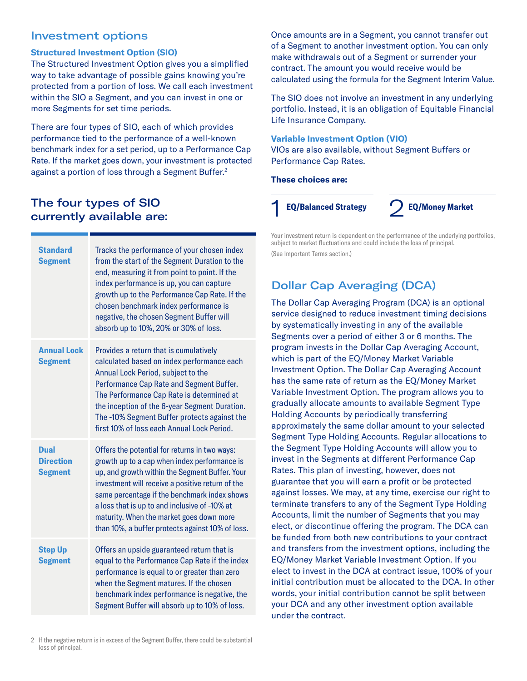# Investment options

### **Structured Investment Option (SIO)**

The Structured Investment Option gives you a simplified way to take advantage of possible gains knowing you're protected from a portion of loss. We call each investment within the SIO a Segment, and you can invest in one or more Segments for set time periods.

There are four types of SIO, each of which provides performance tied to the performance of a well-known benchmark index for a set period, up to a Performance Cap Rate. If the market goes down, your investment is protected against a portion of loss through a Segment Buffer.<sup>2</sup>

# The four types of SIO currently available are:

| <b>Standard</b><br><b>Segment</b>          | Tracks the performance of your chosen index<br>from the start of the Segment Duration to the<br>end, measuring it from point to point. If the<br>index performance is up, you can capture<br>growth up to the Performance Cap Rate. If the<br>chosen benchmark index performance is<br>negative, the chosen Segment Buffer will<br>absorb up to 10%, 20% or 30% of loss.                             |
|--------------------------------------------|------------------------------------------------------------------------------------------------------------------------------------------------------------------------------------------------------------------------------------------------------------------------------------------------------------------------------------------------------------------------------------------------------|
| <b>Annual Lock</b><br><b>Segment</b>       | Provides a return that is cumulatively<br>calculated based on index performance each<br>Annual Lock Period, subject to the<br>Performance Cap Rate and Segment Buffer.<br>The Performance Cap Rate is determined at<br>the inception of the 6-year Segment Duration.<br>The -10% Segment Buffer protects against the<br>first 10% of loss each Annual Lock Period.                                   |
| Dual<br><b>Direction</b><br><b>Segment</b> | Offers the potential for returns in two ways:<br>growth up to a cap when index performance is<br>up, and growth within the Segment Buffer. Your<br>investment will receive a positive return of the<br>same percentage if the benchmark index shows<br>a loss that is up to and inclusive of -10% at<br>maturity. When the market goes down more<br>than 10%, a buffer protects against 10% of loss. |
| <b>Step Up</b><br><b>Segment</b>           | Offers an upside guaranteed return that is<br>equal to the Performance Cap Rate if the index<br>performance is equal to or greater than zero<br>when the Segment matures. If the chosen<br>benchmark index performance is negative, the<br>Segment Buffer will absorb up to 10% of loss.                                                                                                             |

Once amounts are in a Segment, you cannot transfer out of a Segment to another investment option. You can only make withdrawals out of a Segment or surrender your contract. The amount you would receive would be calculated using the formula for the Segment Interim Value.

The SIO does not involve an investment in any underlying portfolio. Instead, it is an obligation of Equitable Financial Life Insurance Company.

## **Variable Investment Option (VIO)**

VIOs are also available, without Segment Buffers or Performance Cap Rates.

**These choices are:**

1 **EQ/Balanced Strategy** 2**EQ/Money Market**

Your investment return is dependent on the performance of the underlying portfolios, subject to market fluctuations and could include the loss of principal. (See Important Terms section.)

# Dollar Cap Averaging (DCA)

The Dollar Cap Averaging Program (DCA) is an optional service designed to reduce investment timing decisions by systematically investing in any of the available Segments over a period of either 3 or 6 months. The program invests in the Dollar Cap Averaging Account, which is part of the EQ/Money Market Variable Investment Option. The Dollar Cap Averaging Account has the same rate of return as the EQ/Money Market Variable Investment Option. The program allows you to gradually allocate amounts to available Segment Type Holding Accounts by periodically transferring approximately the same dollar amount to your selected Segment Type Holding Accounts. Regular allocations to the Segment Type Holding Accounts will allow you to invest in the Segments at different Performance Cap Rates. This plan of investing, however, does not guarantee that you will earn a profit or be protected against losses. We may, at any time, exercise our right to terminate transfers to any of the Segment Type Holding Accounts, limit the number of Segments that you may elect, or discontinue offering the program. The DCA can be funded from both new contributions to your contract and transfers from the investment options, including the EQ/Money Market Variable Investment Option. If you elect to invest in the DCA at contract issue, 100% of your initial contribution must be allocated to the DCA. In other words, your initial contribution cannot be split between your DCA and any other investment option available under the contract.

<sup>2</sup> If the negative return is in excess of the Segment Buffer, there could be substantial loss of principal.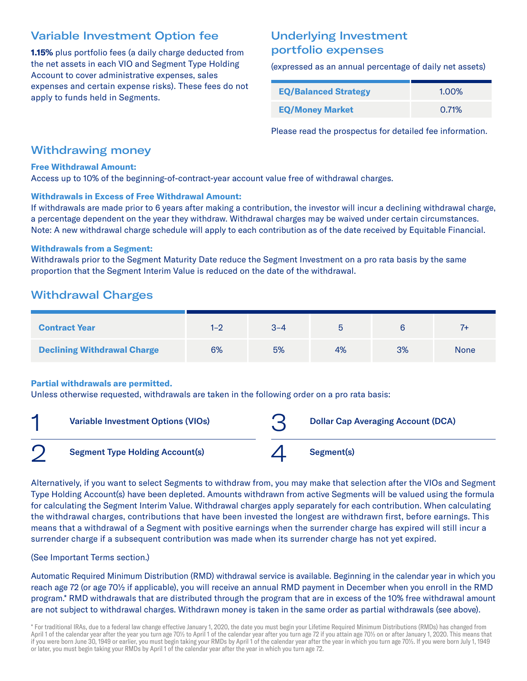# Variable Investment Option fee

**1.15%** plus portfolio fees (a daily charge deducted from the net assets in each VIO and Segment Type Holding Account to cover administrative expenses, sales expenses and certain expense risks). These fees do not apply to funds held in Segments.

# Underlying Investment portfolio expenses

(expressed as an annual percentage of daily net assets)

| <b>EQ/Balanced Strategy</b> | 1.00% |
|-----------------------------|-------|
| <b>EQ/Money Market</b>      | 0.71% |

Please read the prospectus for detailed fee information.

# Withdrawing money

### **Free Withdrawal Amount:**

Access up to 10% of the beginning-of-contract-year account value free of withdrawal charges.

### **Withdrawals in Excess of Free Withdrawal Amount:**

If withdrawals are made prior to 6 years after making a contribution, the investor will incur a declining withdrawal charge, a percentage dependent on the year they withdraw. Withdrawal charges may be waived under certain circumstances. Note: A new withdrawal charge schedule will apply to each contribution as of the date received by Equitable Financial.

### **Withdrawals from a Segment:**

Withdrawals prior to the Segment Maturity Date reduce the Segment Investment on a pro rata basis by the same proportion that the Segment Interim Value is reduced on the date of the withdrawal.

# Withdrawal Charges

| <b>Contract Year</b>               | 1–2 | 3-4 |    |    |             |
|------------------------------------|-----|-----|----|----|-------------|
| <b>Declining Withdrawal Charge</b> | 6%  | 5%  | 4% | 3% | <b>None</b> |

### **Partial withdrawals are permitted.**

Unless otherwise requested, withdrawals are taken in the following order on a pro rata basis:

| ◢ | <b>Variable Investment Options (VIOs)</b> | <b>Dollar Cap Averaging Account (DCA)</b> |
|---|-------------------------------------------|-------------------------------------------|
|   | <b>Segment Type Holding Account(s)</b>    | Segment(s)                                |

Alternatively, if you want to select Segments to withdraw from, you may make that selection after the VIOs and Segment Type Holding Account(s) have been depleted. Amounts withdrawn from active Segments will be valued using the formula for calculating the Segment Interim Value. Withdrawal charges apply separately for each contribution. When calculating the withdrawal charges, contributions that have been invested the longest are withdrawn first, before earnings. This means that a withdrawal of a Segment with positive earnings when the surrender charge has expired will still incur a surrender charge if a subsequent contribution was made when its surrender charge has not yet expired.

(See Important Terms section.)

Automatic Required Minimum Distribution (RMD) withdrawal service is available. Beginning in the calendar year in which you reach age 72 (or age 70½ if applicable), you will receive an annual RMD payment in December when you enroll in the RMD program.\* RMD withdrawals that are distributed through the program that are in excess of the 10% free withdrawal amount are not subject to withdrawal charges. Withdrawn money is taken in the same order as partial withdrawals (see above).

\* For traditional IRAs, due to a federal law change effective January 1, 2020, the date you must begin your Lifetime Required Minimum Distributions (RMDs) has changed from April 1 of the calendar year after the year you turn age 70½ to April 1 of the calendar year after you turn age 72 if you attain age 70½ on or after January 1, 2020. This means that if you were born June 30, 1949 or earlier, you must begin taking your RMDs by April 1 of the calendar year after the year in which you turn age 70½. If you were born July 1, 1949 or later, you must begin taking your RMDs by April 1 of the calendar year after the year in which you turn age 72.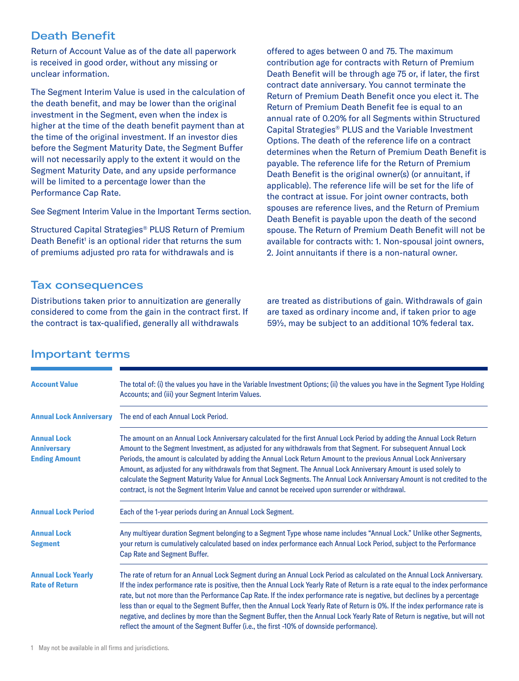# Death Benefit

Return of Account Value as of the date all paperwork is received in good order, without any missing or unclear information.

The Segment Interim Value is used in the calculation of the death benefit, and may be lower than the original investment in the Segment, even when the index is higher at the time of the death benefit payment than at the time of the original investment. If an investor dies before the Segment Maturity Date, the Segment Buffer will not necessarily apply to the extent it would on the Segment Maturity Date, and any upside performance will be limited to a percentage lower than the Performance Cap Rate.

See Segment Interim Value in the Important Terms section.

Structured Capital Strategies® PLUS Return of Premium Death Benefit<sup>1</sup> is an optional rider that returns the sum of premiums adjusted pro rata for withdrawals and is

Tax consequences

Distributions taken prior to annuitization are generally considered to come from the gain in the contract first. If the contract is tax-qualified, generally all withdrawals

offered to ages between 0 and 75. The maximum contribution age for contracts with Return of Premium Death Benefit will be through age 75 or, if later, the first contract date anniversary. You cannot terminate the Return of Premium Death Benefit once you elect it. The Return of Premium Death Benefit fee is equal to an annual rate of 0.20% for all Segments within Structured Capital Strategies® PLUS and the Variable Investment Options. The death of the reference life on a contract determines when the Return of Premium Death Benefit is payable. The reference life for the Return of Premium Death Benefit is the original owner(s) (or annuitant, if applicable). The reference life will be set for the life of the contract at issue. For joint owner contracts, both spouses are reference lives, and the Return of Premium Death Benefit is payable upon the death of the second spouse. The Return of Premium Death Benefit will not be available for contracts with: 1. Non-spousal joint owners, 2. Joint annuitants if there is a non-natural owner.

are treated as distributions of gain. Withdrawals of gain are taxed as ordinary income and, if taken prior to age 59½, may be subject to an additional 10% federal tax.

| <b>Account Value</b>                                             | The total of: (i) the values you have in the Variable Investment Options; (ii) the values you have in the Segment Type Holding<br>Accounts; and (iii) your Segment Interim Values.                                                                                                                                                                                                                                                                                                                                                                                                                                                                                                                                                                  |  |  |
|------------------------------------------------------------------|-----------------------------------------------------------------------------------------------------------------------------------------------------------------------------------------------------------------------------------------------------------------------------------------------------------------------------------------------------------------------------------------------------------------------------------------------------------------------------------------------------------------------------------------------------------------------------------------------------------------------------------------------------------------------------------------------------------------------------------------------------|--|--|
| <b>Annual Lock Anniversary</b>                                   | The end of each Annual Lock Period.                                                                                                                                                                                                                                                                                                                                                                                                                                                                                                                                                                                                                                                                                                                 |  |  |
| <b>Annual Lock</b><br><b>Anniversary</b><br><b>Ending Amount</b> | The amount on an Annual Lock Anniversary calculated for the first Annual Lock Period by adding the Annual Lock Return<br>Amount to the Segment Investment, as adjusted for any withdrawals from that Segment. For subsequent Annual Lock<br>Periods, the amount is calculated by adding the Annual Lock Return Amount to the previous Annual Lock Anniversary<br>Amount, as adjusted for any withdrawals from that Segment. The Annual Lock Anniversary Amount is used solely to<br>calculate the Segment Maturity Value for Annual Lock Segments. The Annual Lock Anniversary Amount is not credited to the<br>contract, is not the Segment Interim Value and cannot be received upon surrender or withdrawal.                                     |  |  |
| <b>Annual Lock Period</b>                                        | Each of the 1-year periods during an Annual Lock Segment.                                                                                                                                                                                                                                                                                                                                                                                                                                                                                                                                                                                                                                                                                           |  |  |
| <b>Annual Lock</b><br><b>Segment</b>                             | Any multiyear duration Segment belonging to a Segment Type whose name includes "Annual Lock." Unlike other Segments,<br>your return is cumulatively calculated based on index performance each Annual Lock Period, subject to the Performance<br>Cap Rate and Segment Buffer.                                                                                                                                                                                                                                                                                                                                                                                                                                                                       |  |  |
| <b>Annual Lock Yearly</b><br><b>Rate of Return</b>               | The rate of return for an Annual Lock Segment during an Annual Lock Period as calculated on the Annual Lock Anniversary.<br>If the index performance rate is positive, then the Annual Lock Yearly Rate of Return is a rate equal to the index performance<br>rate, but not more than the Performance Cap Rate. If the index performance rate is negative, but declines by a percentage<br>less than or equal to the Segment Buffer, then the Annual Lock Yearly Rate of Return is 0%. If the index performance rate is<br>negative, and declines by more than the Segment Buffer, then the Annual Lock Yearly Rate of Return is negative, but will not<br>reflect the amount of the Segment Buffer (i.e., the first -10% of downside performance). |  |  |

# Important terms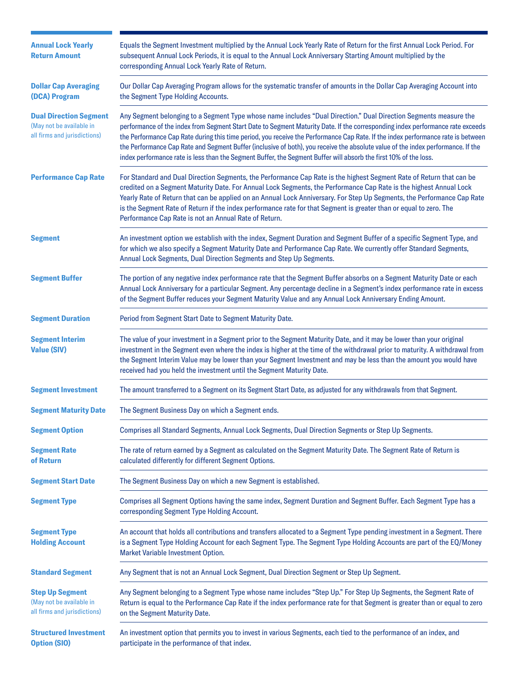| <b>Annual Lock Yearly</b><br><b>Return Amount</b>                                         | Equals the Segment Investment multiplied by the Annual Lock Yearly Rate of Return for the first Annual Lock Period. For<br>subsequent Annual Lock Periods, it is equal to the Annual Lock Anniversary Starting Amount multiplied by the<br>corresponding Annual Lock Yearly Rate of Return.                                                                                                                                                                                                                                                                                                                                                      |
|-------------------------------------------------------------------------------------------|--------------------------------------------------------------------------------------------------------------------------------------------------------------------------------------------------------------------------------------------------------------------------------------------------------------------------------------------------------------------------------------------------------------------------------------------------------------------------------------------------------------------------------------------------------------------------------------------------------------------------------------------------|
| <b>Dollar Cap Averaging</b><br>(DCA) Program                                              | Our Dollar Cap Averaging Program allows for the systematic transfer of amounts in the Dollar Cap Averaging Account into<br>the Segment Type Holding Accounts.                                                                                                                                                                                                                                                                                                                                                                                                                                                                                    |
| <b>Dual Direction Segment</b><br>(May not be available in<br>all firms and jurisdictions) | Any Segment belonging to a Segment Type whose name includes "Dual Direction." Dual Direction Segments measure the<br>performance of the index from Segment Start Date to Segment Maturity Date. If the corresponding index performance rate exceeds<br>the Performance Cap Rate during this time period, you receive the Performance Cap Rate. If the index performance rate is between<br>the Performance Cap Rate and Segment Buffer (inclusive of both), you receive the absolute value of the index performance. If the<br>index performance rate is less than the Segment Buffer, the Segment Buffer will absorb the first 10% of the loss. |
| <b>Performance Cap Rate</b>                                                               | For Standard and Dual Direction Segments, the Performance Cap Rate is the highest Segment Rate of Return that can be<br>credited on a Segment Maturity Date. For Annual Lock Segments, the Performance Cap Rate is the highest Annual Lock<br>Yearly Rate of Return that can be applied on an Annual Lock Anniversary. For Step Up Segments, the Performance Cap Rate<br>is the Segment Rate of Return if the index performance rate for that Segment is greater than or equal to zero. The<br>Performance Cap Rate is not an Annual Rate of Return.                                                                                             |
| <b>Segment</b>                                                                            | An investment option we establish with the index, Segment Duration and Segment Buffer of a specific Segment Type, and<br>for which we also specify a Segment Maturity Date and Performance Cap Rate. We currently offer Standard Segments,<br>Annual Lock Segments, Dual Direction Segments and Step Up Segments.                                                                                                                                                                                                                                                                                                                                |
| <b>Segment Buffer</b>                                                                     | The portion of any negative index performance rate that the Segment Buffer absorbs on a Segment Maturity Date or each<br>Annual Lock Anniversary for a particular Segment. Any percentage decline in a Segment's index performance rate in excess<br>of the Segment Buffer reduces your Segment Maturity Value and any Annual Lock Anniversary Ending Amount.                                                                                                                                                                                                                                                                                    |
| <b>Segment Duration</b>                                                                   | Period from Segment Start Date to Segment Maturity Date.                                                                                                                                                                                                                                                                                                                                                                                                                                                                                                                                                                                         |
| <b>Segment Interim</b><br><b>Value (SIV)</b>                                              | The value of your investment in a Segment prior to the Segment Maturity Date, and it may be lower than your original<br>investment in the Segment even where the index is higher at the time of the withdrawal prior to maturity. A withdrawal from<br>the Segment Interim Value may be lower than your Segment Investment and may be less than the amount you would have<br>received had you held the investment until the Segment Maturity Date.                                                                                                                                                                                               |
| <b>Segment Investment</b>                                                                 | The amount transferred to a Segment on its Segment Start Date, as adjusted for any withdrawals from that Segment.                                                                                                                                                                                                                                                                                                                                                                                                                                                                                                                                |
| <b>Segment Maturity Date</b>                                                              | The Segment Business Day on which a Segment ends.                                                                                                                                                                                                                                                                                                                                                                                                                                                                                                                                                                                                |
| <b>Segment Option</b>                                                                     | Comprises all Standard Segments, Annual Lock Segments, Dual Direction Segments or Step Up Segments.                                                                                                                                                                                                                                                                                                                                                                                                                                                                                                                                              |
| <b>Segment Rate</b><br>of Return                                                          | The rate of return earned by a Segment as calculated on the Segment Maturity Date. The Segment Rate of Return is<br>calculated differently for different Segment Options.                                                                                                                                                                                                                                                                                                                                                                                                                                                                        |
| <b>Segment Start Date</b>                                                                 | The Segment Business Day on which a new Segment is established.                                                                                                                                                                                                                                                                                                                                                                                                                                                                                                                                                                                  |
| <b>Segment Type</b>                                                                       | Comprises all Segment Options having the same index, Segment Duration and Segment Buffer. Each Segment Type has a<br>corresponding Segment Type Holding Account.                                                                                                                                                                                                                                                                                                                                                                                                                                                                                 |
| <b>Segment Type</b><br><b>Holding Account</b>                                             | An account that holds all contributions and transfers allocated to a Segment Type pending investment in a Segment. There<br>is a Segment Type Holding Account for each Segment Type. The Segment Type Holding Accounts are part of the EQ/Money<br>Market Variable Investment Option.                                                                                                                                                                                                                                                                                                                                                            |
| <b>Standard Segment</b>                                                                   | Any Segment that is not an Annual Lock Segment, Dual Direction Segment or Step Up Segment.                                                                                                                                                                                                                                                                                                                                                                                                                                                                                                                                                       |
| <b>Step Up Segment</b><br>(May not be available in<br>all firms and jurisdictions)        | Any Segment belonging to a Segment Type whose name includes "Step Up." For Step Up Segments, the Segment Rate of<br>Return is equal to the Performance Cap Rate if the index performance rate for that Segment is greater than or equal to zero<br>on the Segment Maturity Date.                                                                                                                                                                                                                                                                                                                                                                 |
| <b>Structured Investment</b><br><b>Option (SIO)</b>                                       | An investment option that permits you to invest in various Segments, each tied to the performance of an index, and<br>participate in the performance of that index.                                                                                                                                                                                                                                                                                                                                                                                                                                                                              |